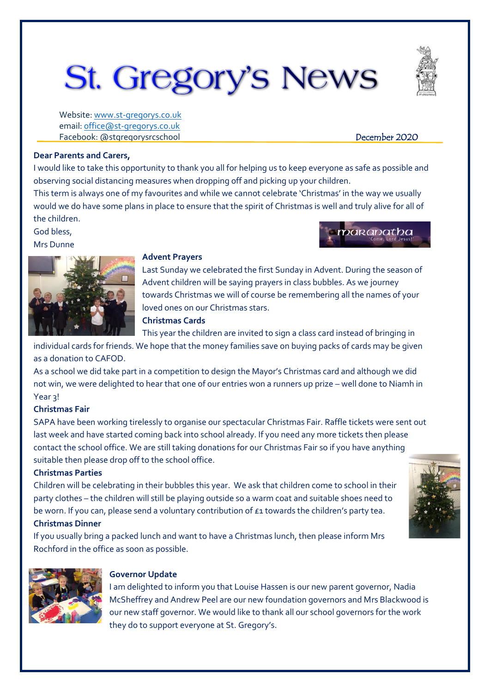# St. Gregory's News

Website[: www.st-gregorys.co.uk](http://www.st-gregorys.co.uk/) email[: office@st-gregorys.co.uk](mailto:office@st-gregorys.co.uk) Facebook: @stgregorysrcschool December 2020

maranatha

## **Dear Parents and Carers,**

I would like to take this opportunity to thank you all for helping us to keep everyone as safe as possible and observing social distancing measures when dropping off and picking up your children.

This term is always one of my favourites and while we cannot celebrate 'Christmas' in the way we usually would we do have some plans in place to ensure that the spirit of Christmas is well and truly alive for all of the children.

God bless, Mrs Dunne



# **Advent Prayers**

Last Sunday we celebrated the first Sunday in Advent. During the season of Advent children will be saying prayers in class bubbles. As we journey towards Christmas we will of course be remembering all the names of your loved ones on our Christmas stars.

# **Christmas Cards**

This year the children are invited to sign a class card instead of bringing in

individual cards for friends. We hope that the money families save on buying packs of cards may be given as a donation to CAFOD.

As a school we did take part in a competition to design the Mayor's Christmas card and although we did not win, we were delighted to hear that one of our entries won a runners up prize – well done to Niamh in Year 3!

# **Christmas Fair**

SAPA have been working tirelessly to organise our spectacular Christmas Fair. Raffle tickets were sent out last week and have started coming back into school already. If you need any more tickets then please contact the school office. We are still taking donations for our Christmas Fair so if you have anything suitable then please drop off to the school office.

# **Christmas Parties**

Children will be celebrating in their bubbles this year. We ask that children come to school in their party clothes – the children will still be playing outside so a warm coat and suitable shoes need to be worn. If you can, please send a voluntary contribution of  $\epsilon_1$  towards the children's party tea.

# **Christmas Dinner**

If you usually bring a packed lunch and want to have a Christmas lunch, then please inform Mrs Rochford in the office as soon as possible.





#### **Governor Update**

I am delighted to inform you that Louise Hassen is our new parent governor, Nadia McSheffrey and Andrew Peel are our new foundation governors and Mrs Blackwood is our new staff governor. We would like to thank all our school governors for the work they do to support everyone at St. Gregory's.